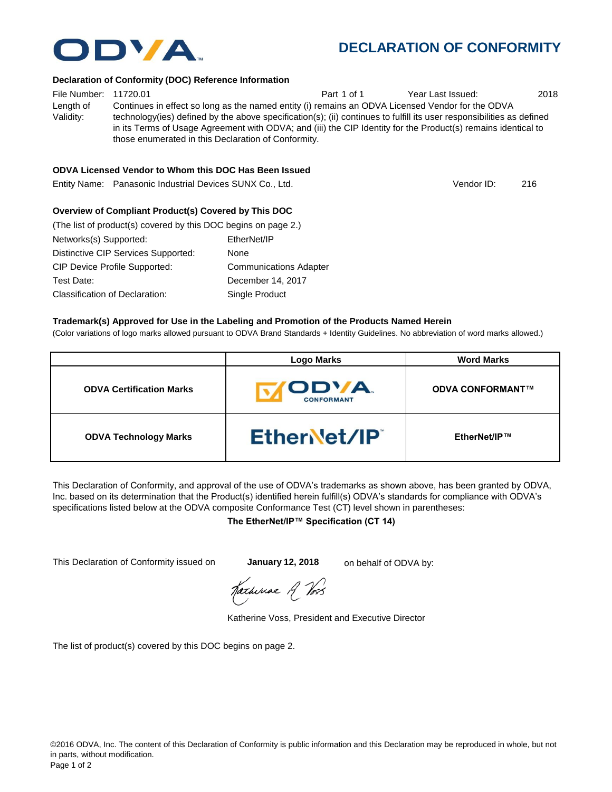

## **DECLARATION OF CONFORMITY**

#### **Declaration of Conformity (DOC) Reference Information**

File Number: 11720.01 **Part 1 of 1** Year Last Issued: 2018 Length of Validity: Continues in effect so long as the named entity (i) remains an ODVA Licensed Vendor for the ODVA technology(ies) defined by the above specification(s); (ii) continues to fulfill its user responsibilities as defined in its Terms of Usage Agreement with ODVA; and (iii) the CIP Identity for the Product(s) remains identical to those enumerated in this Declaration of Conformity.

## **ODVA Licensed Vendor to Whom this DOC Has Been Issued**

Entity Name: Panasonic Industrial Devices SUNX Co., Ltd. 216

Vendor ID:

### **Overview of Compliant Product(s) Covered by This DOC**

| (The list of product(s) covered by this DOC begins on page 2.) |                               |
|----------------------------------------------------------------|-------------------------------|
| Networks(s) Supported:                                         | EtherNet/IP                   |
| Distinctive CIP Services Supported:                            | None                          |
| <b>CIP Device Profile Supported:</b>                           | <b>Communications Adapter</b> |
| Test Date:                                                     | December 14, 2017             |
| Classification of Declaration:                                 | Single Product                |

#### **Trademark(s) Approved for Use in the Labeling and Promotion of the Products Named Herein**

(Color variations of logo marks allowed pursuant to ODVA Brand Standards + Identity Guidelines. No abbreviation of word marks allowed.)

|                                 | <b>Logo Marks</b>                 | <b>Word Marks</b>       |
|---------------------------------|-----------------------------------|-------------------------|
| <b>ODVA Certification Marks</b> | <b>ODVA.</b><br><b>CONFORMANT</b> | <b>ODVA CONFORMANT™</b> |
| <b>ODVA Technology Marks</b>    | EtherNet/IP                       | EtherNet/IP™            |

This Declaration of Conformity, and approval of the use of ODVA's trademarks as shown above, has been granted by ODVA, Inc. based on its determination that the Product(s) identified herein fulfill(s) ODVA's standards for compliance with ODVA's specifications listed below at the ODVA composite Conformance Test (CT) level shown in parentheses:

#### **The EtherNet/IP™ Specification (CT 14)**

This Declaration of Conformity issued on **January 12, 2018** on behalf of ODVA by:

Katherine A Vos

Katherine Voss, President and Executive Director

The list of product(s) covered by this DOC begins on page 2.